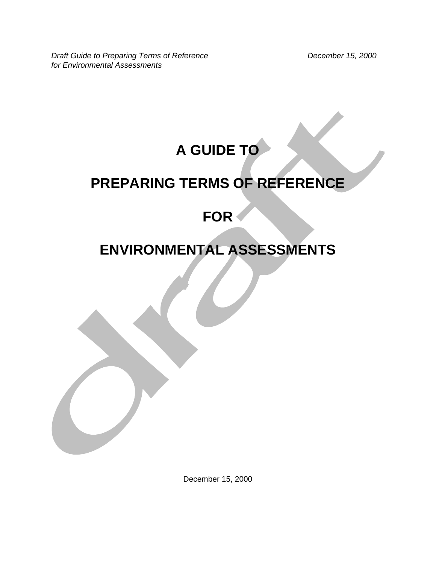**Draft Guide to Preparing Terms of Reference Community Community Community Precember 15, 2000** *for Environmental Assessments* 

# **A GUIDE TO**

# **PREPARING TERMS OF REFERENCE**

# **FOR**

# **ENVIRONMENTAL ASSESSMENTS**

December 15, 2000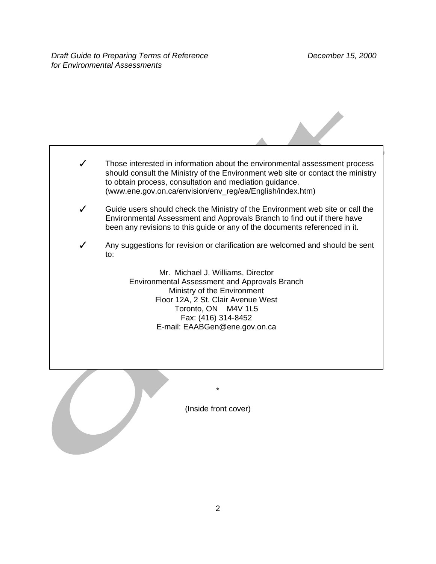

(Inside front cover)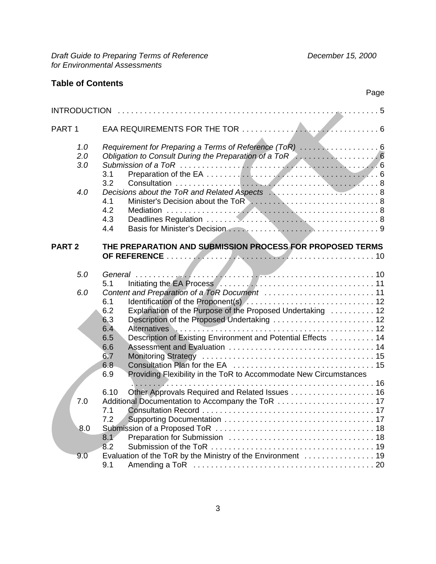## **Table of Contents**

## Page

| PART <sub>1</sub> |                                                                                                                                                                                                                                                                                                                                       |  |
|-------------------|---------------------------------------------------------------------------------------------------------------------------------------------------------------------------------------------------------------------------------------------------------------------------------------------------------------------------------------|--|
| 1.0<br>2.0<br>3.0 | Requirement for Preparing a Terms of Reference (ToR)  6<br>3.1<br>3.2                                                                                                                                                                                                                                                                 |  |
| 4.0               | 4.1<br>4.2<br>4.3<br>4.4                                                                                                                                                                                                                                                                                                              |  |
| <b>PART 2</b>     | THE PREPARATION AND SUBMISSION PROCESS FOR PROPOSED TERMS                                                                                                                                                                                                                                                                             |  |
| 5.0               | 5.1                                                                                                                                                                                                                                                                                                                                   |  |
| 6.0               | 6.1<br>Explanation of the Purpose of the Proposed Undertaking  12<br>6.2<br>Description of the Proposed Undertaking  12<br>6.3<br>6.4<br><b>Alternatives</b><br>Description of Existing Environment and Potential Effects  14<br>6.5<br>6.6<br>6.7<br>6.8<br>Providing Flexibility in the ToR to Accommodate New Circumstances<br>6.9 |  |
| 7.0               | 6.10<br>Other Approvals Required and Related Issues 16<br>7.1                                                                                                                                                                                                                                                                         |  |
| 8.0               | 7.2<br>8.1<br>8.2                                                                                                                                                                                                                                                                                                                     |  |
| 9.0               | Evaluation of the ToR by the Ministry of the Environment  19<br>9.1                                                                                                                                                                                                                                                                   |  |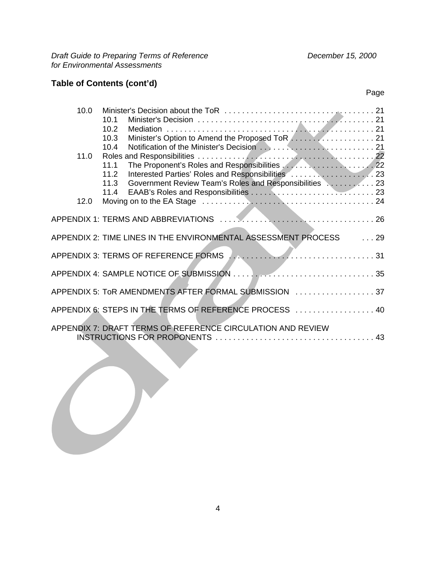**Draft Guide to Preparing Terms of Reference Community Community Community Precember 15, 2000** *for Environmental Assessments* 

## **Table of Contents (cont'd)**

| 10.0 | 10.1<br>10.2<br>10.3                                                                                   |  |
|------|--------------------------------------------------------------------------------------------------------|--|
| 11.0 | 10.4<br>11.1<br>11.2<br>Government Review Team's Roles and Responsibilities Network 23<br>11.3<br>11.4 |  |
| 12.0 |                                                                                                        |  |
|      |                                                                                                        |  |
|      | APPENDIX 2: TIME LINES IN THE ENVIRONMENTAL ASSESSMENT PROCESS 29                                      |  |
|      | APPENDIX 3: TERMS OF REFERENCE FORMS                                                                   |  |
|      |                                                                                                        |  |
|      | APPENDIX 5: ToR AMENDMENTS AFTER FORMAL SUBMISSION  37                                                 |  |
|      | APPENDIX 6: STEPS IN THE TERMS OF REFERENCE PROCESS  40                                                |  |
|      | APPENDIX 7: DRAFT TERMS OF REFERENCE CIRCULATION AND REVIEW                                            |  |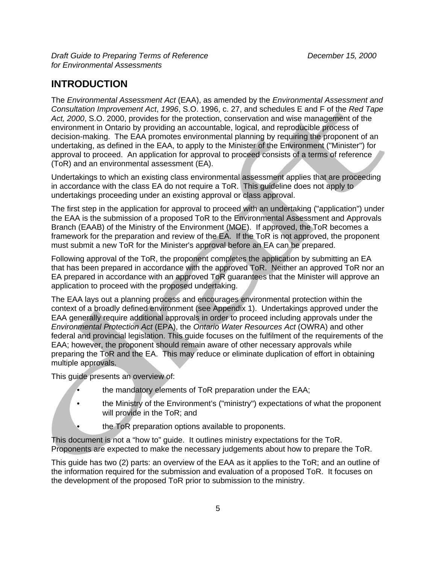## **INTRODUCTION**

The *Environmental Assessment Act* (EAA), as amended by the *Environmental Assessment and Consultation Improvement Act*, *1996*, S.O. 1996, c. 27, and schedules E and F of the *Red Tape Act, 2000*, S.O. 2000, provides for the protection, conservation and wise management of the environment in Ontario by providing an accountable, logical, and reproducible process of decision-making. The EAA promotes environmental planning by requiring the proponent of an undertaking, as defined in the EAA, to apply to the Minister of the Environment ("Minister") for approval to proceed. An application for approval to proceed consists of a terms of reference (ToR) and an environmental assessment (EA).

Undertakings to which an existing class environmental assessment applies that are proceeding in accordance with the class EA do not require a ToR. This guideline does not apply to undertakings proceeding under an existing approval or class approval.

The first step in the application for approval to proceed with an undertaking ("application") under the EAA is the submission of a proposed ToR to the Environmental Assessment and Approvals Branch (EAAB) of the Ministry of the Environment (MOE). If approved, the ToR becomes a framework for the preparation and review of the EA. If the ToR is not approved, the proponent must submit a new ToR for the Minister's approval before an EA can be prepared.

Following approval of the ToR, the proponent completes the application by submitting an EA that has been prepared in accordance with the approved ToR. Neither an approved ToR nor an EA prepared in accordance with an approved ToR guarantees that the Minister will approve an application to proceed with the proposed undertaking.

The EAA lays out a planning process and encourages environmental protection within the context of a broadly defined environment (see Appendix 1). Undertakings approved under the EAA generally require additional approvals in order to proceed including approvals under the *Environmental Protection Act* (EPA), the *Ontario Water Resources Act* (OWRA) and other federal and provincial legislation. This guide focuses on the fulfilment of the requirements of the EAA; however, the proponent should remain aware of other necessary approvals while preparing the ToR and the EA. This may reduce or eliminate duplication of effort in obtaining multiple approvals.

This guide presents an overview of:

- the mandatory elements of ToR preparation under the EAA;
- the Ministry of the Environment's ("ministry") expectations of what the proponent will provide in the ToR; and
	- the ToR preparation options available to proponents.

This document is not a "how to" guide. It outlines ministry expectations for the ToR. Proponents are expected to make the necessary judgements about how to prepare the ToR.

This guide has two (2) parts: an overview of the EAA as it applies to the ToR; and an outline of the information required for the submission and evaluation of a proposed ToR. It focuses on the development of the proposed ToR prior to submission to the ministry.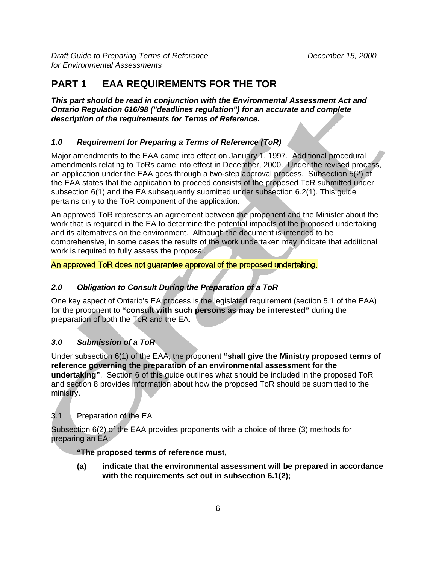# **PART 1 EAA REQUIREMENTS FOR THE TOR**

*This part should be read in conjunction with the Environmental Assessment Act and Ontario Regulation 616/98 ("deadlines regulation") for an accurate and complete description of the requirements for Terms of Reference.*

### *1.0 Requirement for Preparing a Terms of Reference (ToR)*

Major amendments to the EAA came into effect on January 1, 1997. Additional procedural amendments relating to ToRs came into effect in December, 2000. Under the revised process, an application under the EAA goes through a two-step approval process. Subsection 5(2) of the EAA states that the application to proceed consists of the proposed ToR submitted under subsection 6(1) and the EA subsequently submitted under subsection 6.2(1). This guide pertains only to the ToR component of the application.

An approved ToR represents an agreement between the proponent and the Minister about the work that is required in the EA to determine the potential impacts of the proposed undertaking and its alternatives on the environment. Although the document is intended to be comprehensive, in some cases the results of the work undertaken may indicate that additional work is required to fully assess the proposal.

#### An approved ToR does not guarantee approval of the proposed undertaking.

## *2.0 Obligation to Consult During the Preparation of a ToR*

One key aspect of Ontario's EA process is the legislated requirement (section 5.1 of the EAA) for the proponent to **"consult with such persons as may be interested"** during the preparation of both the ToR and the EA.

#### *3.0 Submission of a ToR*

Under subsection 6(1) of the EAA, the proponent **"shall give the Ministry proposed terms of reference governing the preparation of an environmental assessment for the undertaking"**. Section 6 of this guide outlines what should be included in the proposed ToRand section 8 provides information about how the proposed ToR should be submitted to the ministry.

## 3.1 Preparation of the EA

Subsection 6(2) of the EAA provides proponents with a choice of three (3) methods for preparing an EA:

**"The proposed terms of reference must,**

**(a) indicate that the environmental assessment will be prepared in accordance with the requirements set out in subsection 6.1(2);**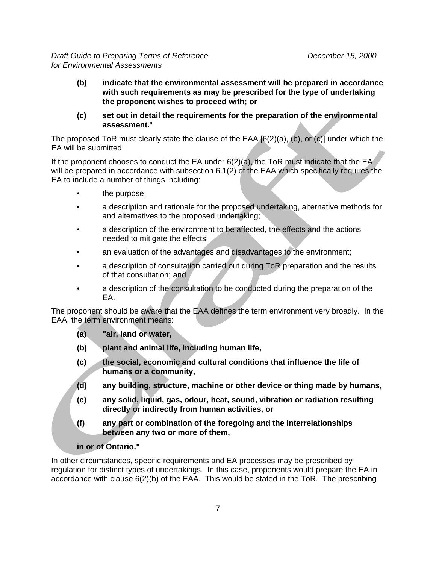- **(b) indicate that the environmental assessment will be prepared in accordance with such requirements as may be prescribed for the type of undertaking the proponent wishes to proceed with; or**
- **(c) set out in detail the requirements for the preparation of the environmental assessment.**"

The proposed ToR must clearly state the clause of the EAA [6(2)(a), (b), or (c)] under which the EA will be submitted.

If the proponent chooses to conduct the EA under  $6(2)(a)$ , the ToR must indicate that the EA will be prepared in accordance with subsection 6.1(2) of the EAA which specifically requires the EA to include a number of things including:

- the purpose;
- a description and rationale for the proposed undertaking, alternative methods for and alternatives to the proposed undertaking;
- a description of the environment to be affected, the effects and the actions needed to mitigate the effects;
- an evaluation of the advantages and disadvantages to the environment;
- a description of consultation carried out during ToR preparation and the results of that consultation; and
- a description of the consultation to be conducted during the preparation of the EA.

The proponent should be aware that the EAA defines the term environment very broadly. In the EAA, the term environment means:

- **(a) "air, land or water,**
- **(b) plant and animal life, including human life,**
- **(c) the social, economic and cultural conditions that influence the life of humans or a community,**
- **(d) any building, structure, machine or other device or thing made by humans,**
- **(e) any solid, liquid, gas, odour, heat, sound, vibration or radiation resulting directly or indirectly from human activities, or**
- **(f) any part or combination of the foregoing and the interrelationships between any two or more of them,**

#### **in or of Ontario."**

In other circumstances, specific requirements and EA processes may be prescribed by regulation for distinct types of undertakings. In this case, proponents would prepare the EA in accordance with clause 6(2)(b) of the EAA. This would be stated in the ToR. The prescribing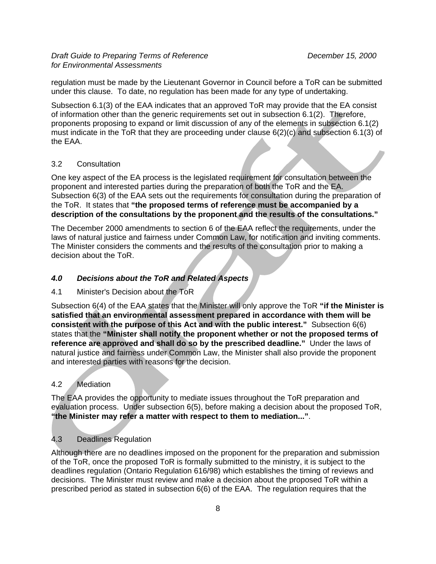regulation must be made by the Lieutenant Governor in Council before a ToR can be submitted under this clause. To date, no regulation has been made for any type of undertaking.

Subsection 6.1(3) of the EAA indicates that an approved ToR may provide that the EA consist of information other than the generic requirements set out in subsection 6.1(2). Therefore, proponents proposing to expand or limit discussion of any of the elements in subsection 6.1(2) must indicate in the ToR that they are proceeding under clause 6(2)(c) and subsection 6.1(3) of the EAA.

#### 3.2 Consultation

One key aspect of the EA process is the legislated requirement for consultation between the proponent and interested parties during the preparation of both the ToR and the EA. Subsection 6(3) of the EAA sets out the requirements for consultation during the preparation of the ToR. It states that "the proposed terms of reference must be accompanied by a **description of the consultations by the proponent and the results of the consultations."** 

The December 2000 amendments to section 6 of the EAA reflect the requirements, under the laws of natural justice and fairness under Common Law, for notification and inviting comments. The Minister considers the comments and the results of the consultation prior to making a decision about the ToR.

### *4.0 Decisions about the ToR and Related Aspects*

#### 4.1 Minister's Decision about the ToR

Subsection 6(4) of the EAA states that the Minister will only approve the ToR **"if the Minister is satisfied that an environmental assessment prepared in accordance with them will be consistent with the purpose of this Act and with the public interest."** Subsection 6(6) states that the **"Minister shall notify the proponent whether or not the proposed terms of reference are approved and shall do so by the prescribed deadline."** Under the laws of natural justice and fairness under Common Law, the Minister shall also provide the proponent and interested parties with reasons for the decision.

#### 4.2 Mediation

The EAA provides the opportunity to mediate issues throughout the ToR preparation and evaluation process. Under subsection 6(5), before making a decision about the proposed ToR, **"the Minister may refer a matter with respect to them to mediation..."**.

#### 4.3 Deadlines Regulation

Although there are no deadlines imposed on the proponent for the preparation and submission of the ToR, once the proposed ToR is formally submitted to the ministry, it is subject to the deadlines regulation (Ontario Regulation 616/98) which establishes the timing of reviews and decisions. The Minister must review and make a decision about the proposed ToR within a prescribed period as stated in subsection 6(6) of the EAA. The regulation requires that the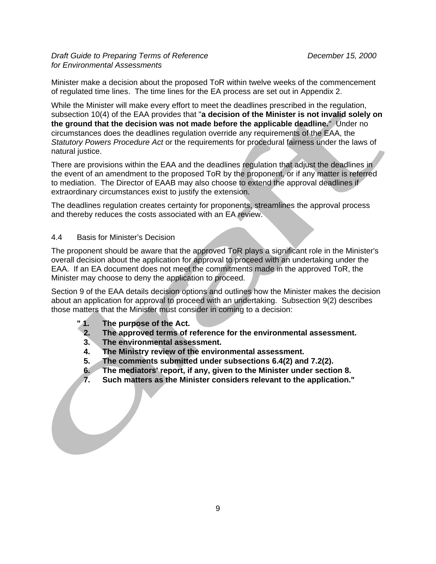Minister make a decision about the proposed ToR within twelve weeks of the commencement of regulated time lines. The time lines for the EA process are set out in Appendix 2.

While the Minister will make every effort to meet the deadlines prescribed in the regulation, subsection 10(4) of the EAA provides that "**a decision of the Minister is not invalid solely on the ground that the decision was not made before the applicable deadline.**" Under no circumstances does the deadlines regulation override any requirements of the EAA, the *Statutory Powers Procedure Act* or the requirements for procedural fairness under the laws of natural justice.

There are provisions within the EAA and the deadlines regulation that adjust the deadlines in the event of an amendment to the proposed ToR by the proponent, or if any matter is referred to mediation. The Director of EAAB may also choose to extend the approval deadlines if extraordinary circumstances exist to justify the extension.

The deadlines regulation creates certainty for proponents, streamlines the approval process and thereby reduces the costs associated with an EA review.

#### 4.4 Basis for Minister's Decision

The proponent should be aware that the approved ToR plays a significant role in the Minister's overall decision about the application for approval to proceed with an undertaking under the EAA. If an EA document does not meet the commitments made in the approved ToR, the Minister may choose to deny the application to proceed.

Section 9 of the EAA details decision options and outlines how the Minister makes the decision about an application for approval to proceed with an undertaking. Subsection 9(2) describes those matters that the Minister must consider in coming to a decision:

- **" 1. The purpose of the Act.**
- **2. The approved terms of reference for the environmental assessment.**
- **3. The environmental assessment.**
- **4. The Ministry review of the environmental assessment.**
- **5. The comments submitted under subsections 6.4(2) and 7.2(2).**
- **6. The mediators' report, if any, given to the Minister under section 8.**
- **7. Such matters as the Minister considers relevant to the application."**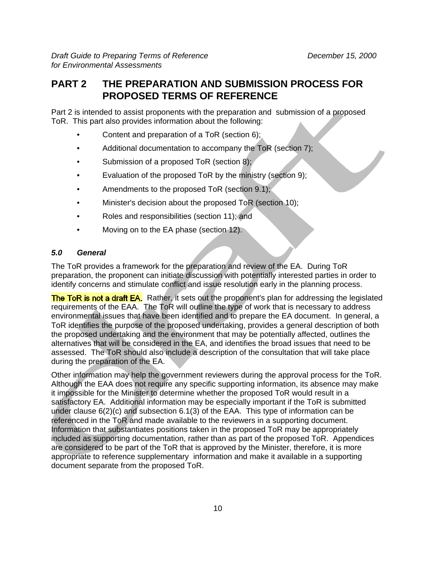## **PART 2 THE PREPARATION AND SUBMISSION PROCESS FOR PROPOSED TERMS OF REFERENCE**

Part 2 is intended to assist proponents with the preparation and submission of a proposed ToR. This part also provides information about the following:

- Content and preparation of a ToR (section 6);
- Additional documentation to accompany the ToR (section 7);
- Submission of a proposed ToR (section 8);
- Evaluation of the proposed ToR by the ministry (section 9);
- Amendments to the proposed ToR (section 9.1);
- Minister's decision about the proposed ToR (section 10);
- Roles and responsibilities (section 11); and
- Moving on to the EA phase (section 12).

#### *5.0 General*

The ToR provides a framework for the preparation and review of the EA. During ToR preparation, the proponent can initiate discussion with potentially interested parties in order to identify concerns and stimulate conflict and issue resolution early in the planning process.

The ToR is not a draft EA. Rather, it sets out the proponent's plan for addressing the legislated requirements of the EAA. The ToR will outline the type of work that is necessary to address environmental issues that have been identified and to prepare the EA document. In general, a ToR identifies the purpose of the proposed undertaking, provides a general description of both the proposed undertaking and the environment that may be potentially affected, outlines the alternatives that will be considered in the EA, and identifies the broad issues that need to be assessed. The ToR should also include a description of the consultation that will take place during the preparation of the EA.

Other information may help the government reviewers during the approval process for the ToR. Although the EAA does not require any specific supporting information, its absence may make it impossible for the Minister to determine whether the proposed ToR would result in a satisfactory EA. Additional information may be especially important if the ToR is submitted under clause 6(2)(c) and subsection 6.1(3) of the EAA. This type of information can be referenced in the ToR and made available to the reviewers in a supporting document. Information that substantiates positions taken in the proposed ToR may be appropriately included as supporting documentation, rather than as part of the proposed ToR. Appendices are considered to be part of the ToR that is approved by the Minister, therefore, it is more appropriate to reference supplementary information and make it available in a supporting document separate from the proposed ToR.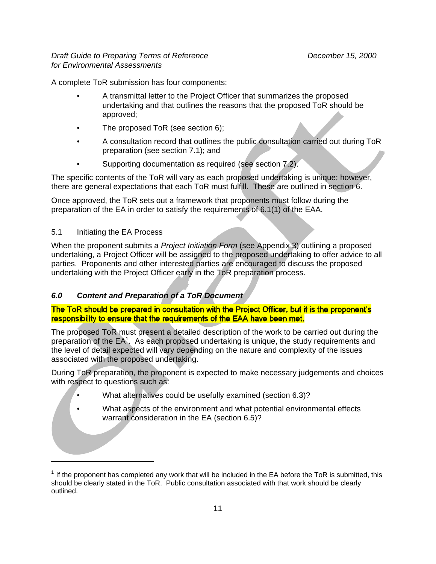A complete ToR submission has four components:

- A transmittal letter to the Project Officer that summarizes the proposed undertaking and that outlines the reasons that the proposed ToR should be approved;
- The proposed ToR (see section 6);
- A consultation record that outlines the public consultation carried out during ToR preparation (see section 7.1); and
- Supporting documentation as required (see section 7.2).

The specific contents of the ToR will vary as each proposed undertaking is unique; however, there are general expectations that each ToR must fulfill. These are outlined in section 6.

Once approved, the ToR sets out a framework that proponents must follow during the preparation of the EA in order to satisfy the requirements of 6.1(1) of the EAA.

### 5.1 Initiating the EA Process

When the proponent submits a *Project Initiation Form* (see Appendix 3) outlining a proposed undertaking, a Project Officer will be assigned to the proposed undertaking to offer advice to all parties. Proponents and other interested parties are encouraged to discuss the proposed undertaking with the Project Officer early in the ToR preparation process.

## *6.0 Content and Preparation of a ToR Document*

#### The ToR should be prepared in consultation with the Project Officer, but it is the proponent's responsibility to ensure that the requirements of the EAA have been met.

The proposed ToR must present a detailed description of the work to be carried out during the preparation of the EA<sup>1</sup>. As each proposed undertaking is unique, the study requirements and the level of detail expected will vary depending on the nature and complexity of the issues associated with the proposed undertaking.

During ToR preparation, the proponent is expected to make necessary judgements and choices with respect to questions such as:

- What alternatives could be usefully examined (section 6.3)?
- What aspects of the environment and what potential environmental effects warrant consideration in the EA (section 6.5)?

 $1$  If the proponent has completed any work that will be included in the EA before the ToR is submitted, this should be clearly stated in the ToR. Public consultation associated with that work should be clearly outlined.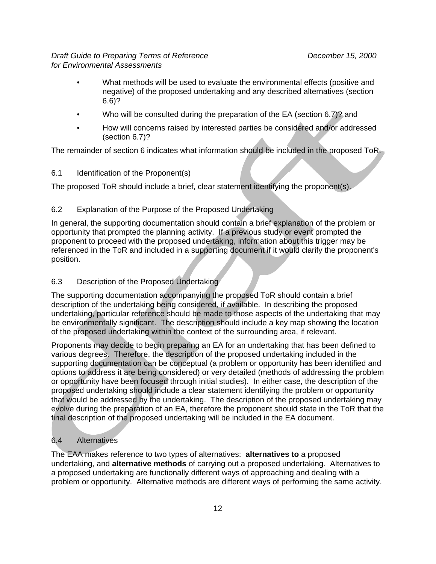- What methods will be used to evaluate the environmental effects (positive and negative) of the proposed undertaking and any described alternatives (section 6.6)?
- Who will be consulted during the preparation of the EA (section 6.7)? and
- How will concerns raised by interested parties be considered and/or addressed (section 6.7)?

The remainder of section 6 indicates what information should be included in the proposed ToR.

#### 6.1 Identification of the Proponent(s)

The proposed ToR should include a brief, clear statement identifying the proponent(s).

#### 6.2 Explanation of the Purpose of the Proposed Undertaking

In general, the supporting documentation should contain a brief explanation of the problem or opportunity that prompted the planning activity. If a previous study or event prompted the proponent to proceed with the proposed undertaking, information about this trigger may be referenced in the ToR and included in a supporting document if it would clarify the proponent's position.

#### 6.3 Description of the Proposed Undertaking

The supporting documentation accompanying the proposed ToR should contain a brief description of the undertaking being considered, if available. In describing the proposed undertaking, particular reference should be made to those aspects of the undertaking that may be environmentally significant. The description should include a key map showing the location of the proposed undertaking within the context of the surrounding area, if relevant.

Proponents may decide to begin preparing an EA for an undertaking that has been defined to various degrees. Therefore, the description of the proposed undertaking included in the supporting documentation can be conceptual (a problem or opportunity has been identified and options to address it are being considered) or very detailed (methods of addressing the problem or opportunity have been focused through initial studies). In either case, the description of the proposed undertaking should include a clear statement identifying the problem or opportunity that would be addressed by the undertaking. The description of the proposed undertaking may evolve during the preparation of an EA, therefore the proponent should state in the ToR that the final description of the proposed undertaking will be included in the EA document.

#### 6.4 Alternatives

The EAA makes reference to two types of alternatives: **alternatives to** a proposed undertaking, and **alternative methods** of carrying out a proposed undertaking. Alternatives to a proposed undertaking are functionally different ways of approaching and dealing with a problem or opportunity. Alternative methods are different ways of performing the same activity.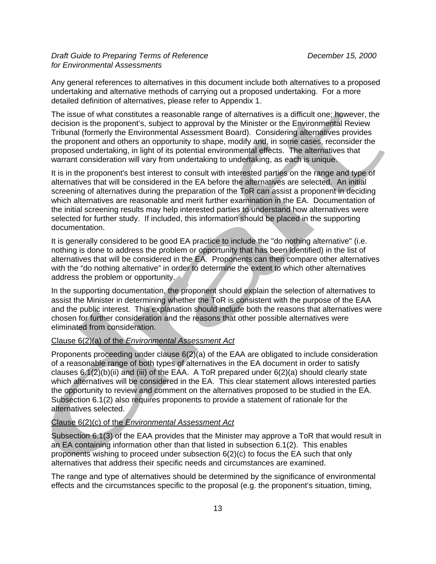Any general references to alternatives in this document include both alternatives to a proposed undertaking and alternative methods of carrying out a proposed undertaking. For a more detailed definition of alternatives, please refer to Appendix 1.

The issue of what constitutes a reasonable range of alternatives is a difficult one; however, the decision is the proponent's, subject to approval by the Minister or the Environmental Review Tribunal (formerly the Environmental Assessment Board). Considering alternatives provides the proponent and others an opportunity to shape, modify and, in some cases, reconsider the proposed undertaking, in light of its potential environmental effects. The alternatives that warrant consideration will vary from undertaking to undertaking, as each is unique.

It is in the proponent's best interest to consult with interested parties on the range and type of alternatives that will be considered in the EA before the alternatives are selected. An initial screening of alternatives during the preparation of the ToR can assist a proponent in deciding which alternatives are reasonable and merit further examination in the EA. Documentation of the initial screening results may help interested parties to understand how alternatives were selected for further study. If included, this information should be placed in the supporting documentation.

It is generally considered to be good EA practice to include the "do nothing alternative" (i.e. nothing is done to address the problem or opportunity that has been identified) in the list of alternatives that will be considered in the EA. Proponents can then compare other alternatives with the "do nothing alternative" in order to determine the extent to which other alternatives address the problem or opportunity.

In the supporting documentation, the proponent should explain the selection of alternatives to assist the Minister in determining whether the ToR is consistent with the purpose of the EAA and the public interest. This explanation should include both the reasons that alternatives were chosen for further consideration and the reasons that other possible alternatives were eliminated from consideration.

#### Clause 6(2)(a) of the *Environmental Assessment Act*

Proponents proceeding under clause 6(2)(a) of the EAA are obligated to include consideration of a reasonable range of both types of alternatives in the EA document in order to satisfy clauses 6.1(2)(b)(ii) and (iii) of the EAA. A ToR prepared under 6(2)(a) should clearly state which alternatives will be considered in the EA. This clear statement allows interested parties the opportunity to review and comment on the alternatives proposed to be studied in the EA. Subsection 6.1(2) also requires proponents to provide a statement of rationale for the alternatives selected.

#### Clause 6(2)(c) of the *Environmental Assessment Act*

Subsection 6.1(3) of the EAA provides that the Minister may approve a ToR that would result in an EA containing information other than that listed in subsection 6.1(2). This enables proponents wishing to proceed under subsection 6(2)(c) to focus the EA such that only alternatives that address their specific needs and circumstances are examined.

The range and type of alternatives should be determined by the significance of environmental effects and the circumstances specific to the proposal (e.g. the proponent's situation, timing,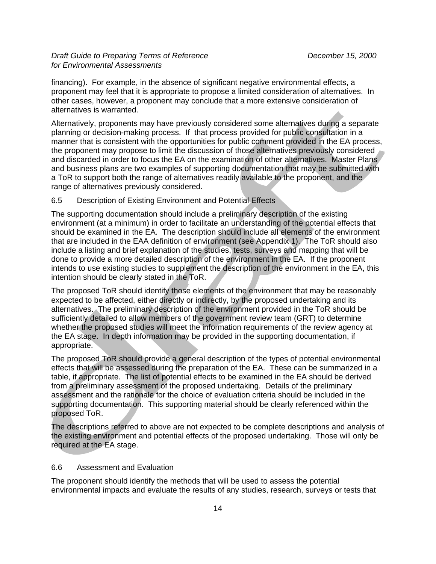financing). For example, in the absence of significant negative environmental effects, a proponent may feel that it is appropriate to propose a limited consideration of alternatives. In other cases, however, a proponent may conclude that a more extensive consideration of alternatives is warranted.

Alternatively, proponents may have previously considered some alternatives during a separate planning or decision-making process. If that process provided for public consultation in a manner that is consistent with the opportunities for public comment provided in the EA process, the proponent may propose to limit the discussion of those alternatives previously considered and discarded in order to focus the EA on the examination of other alternatives. Master Plans and business plans are two examples of supporting documentation that may be submitted with a ToR to support both the range of alternatives readily available to the proponent, and the range of alternatives previously considered.

#### 6.5 Description of Existing Environment and Potential Effects

The supporting documentation should include a preliminary description of the existing environment (at a minimum) in order to facilitate an understanding of the potential effects that should be examined in the EA. The description should include all elements of the environment that are included in the EAA definition of environment (see Appendix 1). The ToR should also include a listing and brief explanation of the studies, tests, surveys and mapping that will be done to provide a more detailed description of the environment in the EA. If the proponent intends to use existing studies to supplement the description of the environment in the EA, this intention should be clearly stated in the ToR.

The proposed ToR should identify those elements of the environment that may be reasonably expected to be affected, either directly or indirectly, by the proposed undertaking and its alternatives. The preliminary description of the environment provided in the ToR should be sufficiently detailed to allow members of the government review team (GRT) to determine whether the proposed studies will meet the information requirements of the review agency at the EA stage. In depth information may be provided in the supporting documentation, if appropriate.

The proposed ToR should provide a general description of the types of potential environmental effects that will be assessed during the preparation of the EA. These can be summarized in a table, if appropriate. The list of potential effects to be examined in the EA should be derived from a preliminary assessment of the proposed undertaking. Details of the preliminary assessment and the rationale for the choice of evaluation criteria should be included in the supporting documentation. This supporting material should be clearly referenced within the proposed ToR.

The descriptions referred to above are not expected to be complete descriptions and analysis of the existing environment and potential effects of the proposed undertaking. Those will only be required at the EA stage.

#### 6.6 Assessment and Evaluation

The proponent should identify the methods that will be used to assess the potential environmental impacts and evaluate the results of any studies, research, surveys or tests that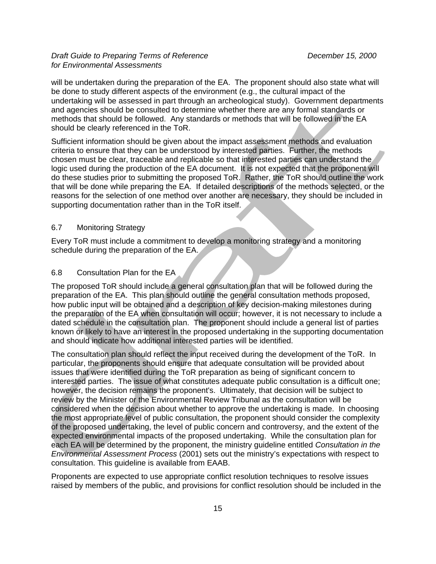will be undertaken during the preparation of the EA. The proponent should also state what will be done to study different aspects of the environment (e.g., the cultural impact of the undertaking will be assessed in part through an archeological study). Government departments and agencies should be consulted to determine whether there are any formal standards or methods that should be followed. Any standards or methods that will be followed in the EA should be clearly referenced in the ToR.

Sufficient information should be given about the impact assessment methods and evaluation criteria to ensure that they can be understood by interested parties. Further, the methods chosen must be clear, traceable and replicable so that interested parties can understand the logic used during the production of the EA document. It is not expected that the proponent will do these studies prior to submitting the proposed ToR. Rather, the ToR should outline the work that will be done while preparing the EA. If detailed descriptions of the methods selected, or the reasons for the selection of one method over another are necessary, they should be included in supporting documentation rather than in the ToR itself.

#### 6.7 Monitoring Strategy

Every ToR must include a commitment to develop a monitoring strategy and a monitoring schedule during the preparation of the EA.

#### 6.8 Consultation Plan for the EA

The proposed ToR should include a general consultation plan that will be followed during the preparation of the EA. This plan should outline the general consultation methods proposed, how public input will be obtained and a description of key decision-making milestones during the preparation of the EA when consultation will occur; however, it is not necessary to include a dated schedule in the consultation plan. The proponent should include a general list of parties known or likely to have an interest in the proposed undertaking in the supporting documentation and should indicate how additional interested parties will be identified.

The consultation plan should reflect the input received during the development of the ToR. In particular, the proponents should ensure that adequate consultation will be provided about issues that were identified during the ToR preparation as being of significant concern to interested parties. The issue of what constitutes adequate public consultation is a difficult one; however, the decision remains the proponent's. Ultimately, that decision will be subject to review by the Minister or the Environmental Review Tribunal as the consultation will be considered when the decision about whether to approve the undertaking is made. In choosing the most appropriate level of public consultation, the proponent should consider the complexity of the proposed undertaking, the level of public concern and controversy, and the extent of the expected environmental impacts of the proposed undertaking. While the consultation plan for each EA will be determined by the proponent, the ministry guideline entitled *Consultation in the Environmental Assessment Process* (2001) sets out the ministry's expectations with respect to consultation. This guideline is available from EAAB.

Proponents are expected to use appropriate conflict resolution techniques to resolve issues raised by members of the public, and provisions for conflict resolution should be included in the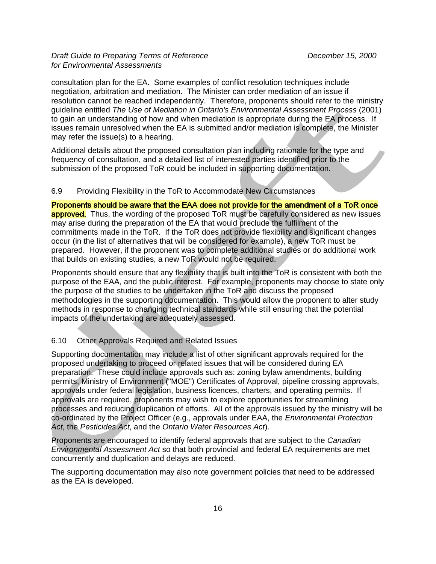consultation plan for the EA. Some examples of conflict resolution techniques include negotiation, arbitration and mediation. The Minister can order mediation of an issue if resolution cannot be reached independently. Therefore, proponents should refer to the ministry guideline entitled *The Use of Mediation in Ontario's Environmental Assessment Process* (2001) to gain an understanding of how and when mediation is appropriate during the EA process. If issues remain unresolved when the EA is submitted and/or mediation is complete, the Minister may refer the issue(s) to a hearing.

Additional details about the proposed consultation plan including rationale for the type and frequency of consultation, and a detailed list of interested parties identified prior to the submission of the proposed ToR could be included in supporting documentation.

#### 6.9 Providing Flexibility in the ToR to Accommodate New Circumstances

Proponents should be aware that the EAA does not provide for the amendment of a ToR once **approved.** Thus, the wording of the proposed ToR must be carefully considered as new issues may arise during the preparation of the EA that would preclude the fulfilment of the commitments made in the ToR. If the ToR does not provide flexibility and significant changes occur (in the list of alternatives that will be considered for example), a new ToR must be prepared. However, if the proponent was to complete additional studies or do additional work that builds on existing studies, a new ToR would not be required.

Proponents should ensure that any flexibility that is built into the ToR is consistent with both the purpose of the EAA, and the public interest. For example, proponents may choose to state only the purpose of the studies to be undertaken in the ToR and discuss the proposed methodologies in the supporting documentation. This would allow the proponent to alter study methods in response to changing technical standards while still ensuring that the potential impacts of the undertaking are adequately assessed.

#### 6.10 Other Approvals Required and Related Issues

Supporting documentation may include a list of other significant approvals required for the proposed undertaking to proceed or related issues that will be considered during EA preparation. These could include approvals such as: zoning bylaw amendments, building permits, Ministry of Environment ("MOE") Certificates of Approval, pipeline crossing approvals, approvals under federal legislation, business licences, charters, and operating permits. If approvals are required, proponents may wish to explore opportunities for streamlining processes and reducing duplication of efforts. All of the approvals issued by the ministry will beco-ordinated by the Project Officer (e.g., approvals under EAA, the *Environmental Protection Act*, the *Pesticides Act*, and the *Ontario Water Resources Act*).

Proponents are encouraged to identify federal approvals that are subject to the *Canadian Environmental Assessment Act* so that both provincial and federal EA requirements are met concurrently and duplication and delays are reduced.

The supporting documentation may also note government policies that need to be addressed as the EA is developed.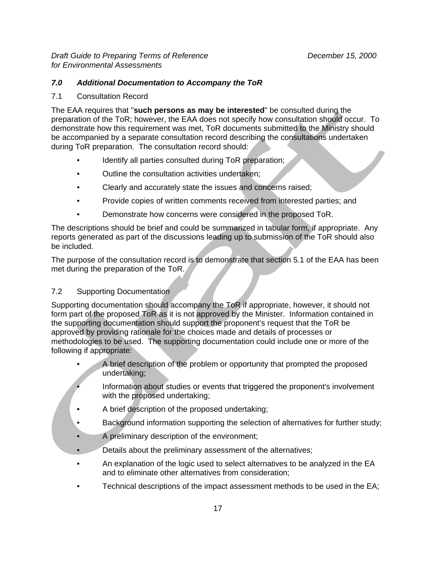### *7.0 Additional Documentation to Accompany the ToR*

#### 7.1 Consultation Record

The EAA requires that "**such persons as may be interested**" be consulted during the preparation of the ToR; however, the EAA does not specify how consultation should occur. To demonstrate how this requirement was met, ToR documents submitted to the Ministry should be accompanied by a separate consultation record describing the consultations undertaken during ToR preparation. The consultation record should:

- Identify all parties consulted during ToR preparation;
- Outline the consultation activities undertaken;
- Clearly and accurately state the issues and concerns raised;
- Provide copies of written comments received from interested parties; and
- Demonstrate how concerns were considered in the proposed ToR.

The descriptions should be brief and could be summarized in tabular form, if appropriate. Any reports generated as part of the discussions leading up to submission of the ToR should also be included.

The purpose of the consultation record is to demonstrate that section 5.1 of the EAA has been met during the preparation of the ToR.

#### 7.2 Supporting Documentation

Supporting documentation should accompany the ToR if appropriate, however, it should not form part of the proposed ToR as it is not approved by the Minister. Information contained in the supporting documentation should support the proponent's request that the ToR be approved by providing rationale for the choices made and details of processes or methodologies to be used. The supporting documentation could include one or more of the following if appropriate:

- A brief description of the problem or opportunity that prompted the proposed undertaking;
	- Information about studies or events that triggered the proponent's involvement with the proposed undertaking;
- A brief description of the proposed undertaking;
- Background information supporting the selection of alternatives for further study;
- A preliminary description of the environment;
- Details about the preliminary assessment of the alternatives;
- An explanation of the logic used to select alternatives to be analyzed in the EA and to eliminate other alternatives from consideration;
- Technical descriptions of the impact assessment methods to be used in the EA;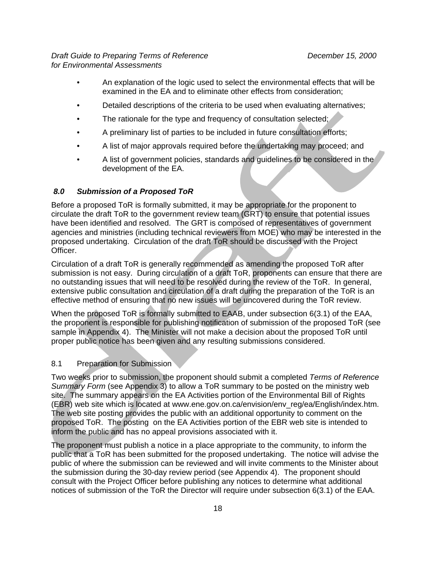- An explanation of the logic used to select the environmental effects that will be examined in the EA and to eliminate other effects from consideration;
- Detailed descriptions of the criteria to be used when evaluating alternatives;
- The rationale for the type and frequency of consultation selected;
- A preliminary list of parties to be included in future consultation efforts;
- A list of major approvals required before the undertaking may proceed; and
- A list of government policies, standards and guidelines to be considered in the development of the EA.

### *8.0 Submission of a Proposed ToR*

Before a proposed ToR is formally submitted, it may be appropriate for the proponent to circulate the draft ToR to the government review team (GRT) to ensure that potential issues have been identified and resolved. The GRT is composed of representatives of government agencies and ministries (including technical reviewers from MOE) who may be interested in the proposed undertaking. Circulation of the draft ToR should be discussed with the Project Officer.

Circulation of a draft ToR is generally recommended as amending the proposed ToR after submission is not easy. During circulation of a draft ToR, proponents can ensure that there are no outstanding issues that will need to be resolved during the review of the ToR. In general, extensive public consultation and circulation of a draft during the preparation of the ToR is an effective method of ensuring that no new issues will be uncovered during the ToR review.

When the proposed ToR is formally submitted to EAAB, under subsection 6(3.1) of the EAA, the proponent is responsible for publishing notification of submission of the proposed ToR (see sample in Appendix 4). The Minister will not make a decision about the proposed ToR until proper public notice has been given and any resulting submissions considered.

#### 8.1 Preparation for Submission

Two weeks prior to submission, the proponent should submit a completed *Terms of Reference Summary Form* (see Appendix 3) to allow a ToR summary to be posted on the ministry web site. The summary appears on the EA Activities portion of the Environmental Bill of Rights (EBR) web site which is located at www.ene.gov.on.ca/envision/env\_reg/ea/English/index.htm. The web site posting provides the public with an additional opportunity to comment on the proposed ToR. The posting on the EA Activities portion of the EBR web site is intended to inform the public and has no appeal provisions associated with it.

The proponent must publish a notice in a place appropriate to the community, to inform the public that a ToR has been submitted for the proposed undertaking. The notice will advise the public of where the submission can be reviewed and will invite comments to the Minister about the submission during the 30-day review period (see Appendix 4). The proponent should consult with the Project Officer before publishing any notices to determine what additional notices of submission of the ToR the Director will require under subsection 6(3.1) of the EAA.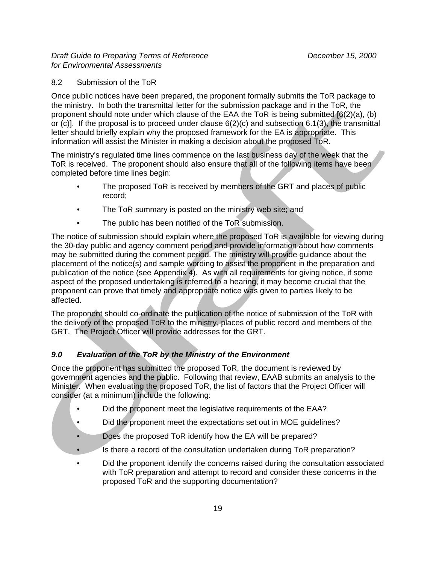#### 8.2 Submission of the ToR

Once public notices have been prepared, the proponent formally submits the ToR package to the ministry. In both the transmittal letter for the submission package and in the ToR, the proponent should note under which clause of the EAA the ToR is being submitted [6(2)(a), (b) or (c)]. If the proposal is to proceed under clause 6(2)(c) and subsection 6.1(3), the transmittal letter should briefly explain why the proposed framework for the EA is appropriate. This information will assist the Minister in making a decision about the proposed ToR.

The ministry's regulated time lines commence on the last business day of the week that the ToR is received. The proponent should also ensure that all of the following items have been completed before time lines begin:

- The proposed ToR is received by members of the GRT and places of public record;
- The ToR summary is posted on the ministry web site; and
- The public has been notified of the ToR submission.

The notice of submission should explain where the proposed ToR is available for viewing during the 30-day public and agency comment period and provide information about how comments may be submitted during the comment period. The ministry will provide guidance about the placement of the notice(s) and sample wording to assist the proponent in the preparation and publication of the notice (see Appendix 4). As with all requirements for giving notice, if some aspect of the proposed undertaking is referred to a hearing, it may become crucial that the proponent can prove that timely and appropriate notice was given to parties likely to be affected.

The proponent should co-ordinate the publication of the notice of submission of the ToR with the delivery of the proposed ToR to the ministry, places of public record and members of the GRT. The Project Officer will provide addresses for the GRT.

## *9.0 Evaluation of the ToR by the Ministry of the Environment*

Once the proponent has submitted the proposed ToR, the document is reviewed by government agencies and the public. Following that review, EAAB submits an analysis to the Minister. When evaluating the proposed ToR, the list of factors that the Project Officer will consider (at a minimum) include the following:

- Did the proponent meet the legislative requirements of the EAA?
- Did the proponent meet the expectations set out in MOE guidelines?
- Does the proposed ToR identify how the EA will be prepared?
- Is there a record of the consultation undertaken during ToR preparation?
- Did the proponent identify the concerns raised during the consultation associated with ToR preparation and attempt to record and consider these concerns in the proposed ToR and the supporting documentation?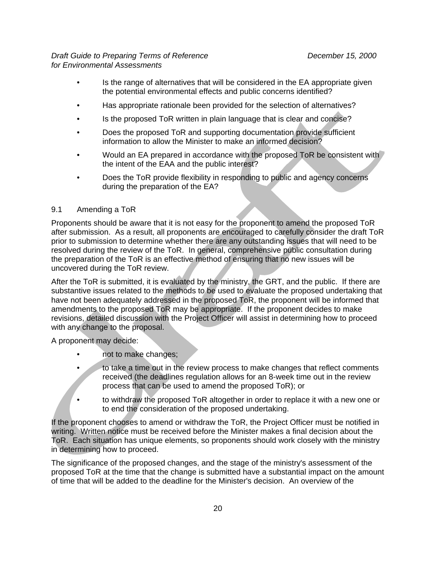- Is the range of alternatives that will be considered in the EA appropriate given the potential environmental effects and public concerns identified?
- Has appropriate rationale been provided for the selection of alternatives?
- Is the proposed ToR written in plain language that is clear and concise?
- Does the proposed ToR and supporting documentation provide sufficient information to allow the Minister to make an informed decision?
- Would an EA prepared in accordance with the proposed ToR be consistent with the intent of the EAA and the public interest?
- Does the ToR provide flexibility in responding to public and agency concerns during the preparation of the EA?

#### 9.1 Amending a ToR

Proponents should be aware that it is not easy for the proponent to amend the proposed ToR after submission. As a result, all proponents are encouraged to carefully consider the draft ToR prior to submission to determine whether there are any outstanding issues that will need to be resolved during the review of the ToR. In general, comprehensive public consultation during the preparation of the ToR is an effective method of ensuring that no new issues will be uncovered during the ToR review.

After the ToR is submitted, it is evaluated by the ministry, the GRT, and the public. If there are substantive issues related to the methods to be used to evaluate the proposed undertaking that have not been adequately addressed in the proposed ToR, the proponent will be informed that amendments to the proposed ToR may be appropriate. If the proponent decides to make revisions, detailed discussion with the Project Officer will assist in determining how to proceed with any change to the proposal.

A proponent may decide:

- not to make changes;
- to take a time out in the review process to make changes that reflect comments received (the deadlines regulation allows for an 8-week time out in the review process that can be used to amend the proposed ToR); or
- to withdraw the proposed ToR altogether in order to replace it with a new one or to end the consideration of the proposed undertaking.

If the proponent chooses to amend or withdraw the ToR, the Project Officer must be notified in writing. Written notice must be received before the Minister makes a final decision about the ToR. Each situation has unique elements, so proponents should work closely with the ministry in determining how to proceed.

The significance of the proposed changes, and the stage of the ministry's assessment of the proposed ToR at the time that the change is submitted have a substantial impact on the amount of time that will be added to the deadline for the Minister's decision. An overview of the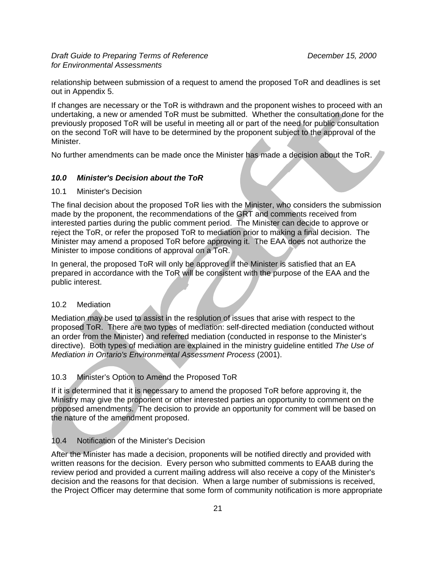relationship between submission of a request to amend the proposed ToR and deadlines is set out in Appendix 5.

If changes are necessary or the ToR is withdrawn and the proponent wishes to proceed with an undertaking, a new or amended ToR must be submitted. Whether the consultation done for the previously proposed ToR will be useful in meeting all or part of the need for public consultation on the second ToR will have to be determined by the proponent subject to the approval of the Minister.

No further amendments can be made once the Minister has made a decision about the ToR.

#### *10.0 Minister's Decision about the ToR*

10.1 Minister's Decision

The final decision about the proposed ToR lies with the Minister, who considers the submission made by the proponent, the recommendations of the GRT and comments received from interested parties during the public comment period. The Minister can decide to approve or reject the ToR, or refer the proposed ToR to mediation prior to making a final decision. The Minister may amend a proposed ToR before approving it. The EAA does not authorize the Minister to impose conditions of approval on a ToR.

In general, the proposed ToR will only be approved if the Minister is satisfied that an EA prepared in accordance with the ToR will be consistent with the purpose of the EAA and the public interest.

#### 10.2 Mediation

Mediation may be used to assist in the resolution of issues that arise with respect to the proposed ToR. There are two types of mediation: self-directed mediation (conducted without an order from the Minister) and referred mediation (conducted in response to the Minister's directive). Both types of mediation are explained in the ministry guideline entitled The Use of *Mediation in Ontario's Environmental Assessment Process* (2001).

#### 10.3 Minister's Option to Amend the Proposed ToR

If it is determined that it is necessary to amend the proposed ToR before approving it, the Ministry may give the proponent or other interested parties an opportunity to comment on the proposed amendments. The decision to provide an opportunity for comment will be based on the nature of the amendment proposed.

#### 10.4 Notification of the Minister's Decision

After the Minister has made a decision, proponents will be notified directly and provided with written reasons for the decision. Every person who submitted comments to EAAB during the review period and provided a current mailing address will also receive a copy of the Minister's decision and the reasons for that decision. When a large number of submissions is received, the Project Officer may determine that some form of community notification is more appropriate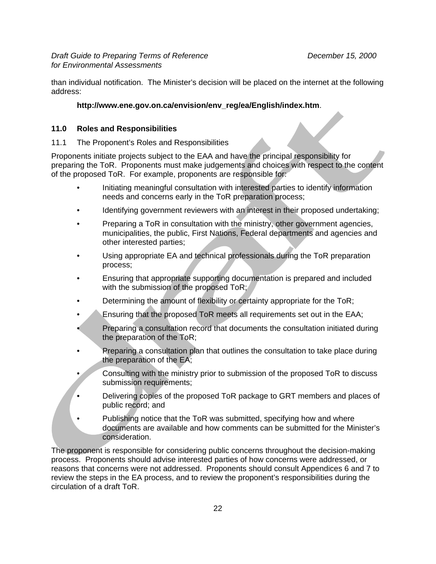than individual notification. The Minister's decision will be placed on the internet at the following address:

## **http://www.ene.gov.on.ca/envision/env\_reg/ea/English/index.htm**.

#### **11.0 Roles and Responsibilities**

11.1 The Proponent's Roles and Responsibilities

Proponents initiate projects subject to the EAA and have the principal responsibility for preparing the ToR. Proponents must make judgements and choices with respect to the content of the proposed ToR. For example, proponents are responsible for:

- Initiating meaningful consultation with interested parties to identify information needs and concerns early in the ToR preparation process;
- Identifying government reviewers with an interest in their proposed undertaking;
- Preparing a ToR in consultation with the ministry, other government agencies, municipalities, the public, First Nations, Federal departments and agencies and other interested parties;
- Using appropriate EA and technical professionals during the ToR preparation process;
- Ensuring that appropriate supporting documentation is prepared and included with the submission of the proposed ToR;
- Determining the amount of flexibility or certainty appropriate for the ToR;
- Ensuring that the proposed ToR meets all requirements set out in the EAA;
- Preparing a consultation record that documents the consultation initiated during the preparation of the ToR;
- Preparing a consultation plan that outlines the consultation to take place during the preparation of the EA;
- Consulting with the ministry prior to submission of the proposed ToR to discuss submission requirements;
- Delivering copies of the proposed ToR package to GRT members and places of public record; and
- Publishing notice that the ToR was submitted, specifying how and where documents are available and how comments can be submitted for the Minister's consideration.

The proponent is responsible for considering public concerns throughout the decision-making process. Proponents should advise interested parties of how concerns were addressed, or reasons that concerns were not addressed. Proponents should consult Appendices 6 and 7 to review the steps in the EA process, and to review the proponent's responsibilities during the circulation of a draft ToR.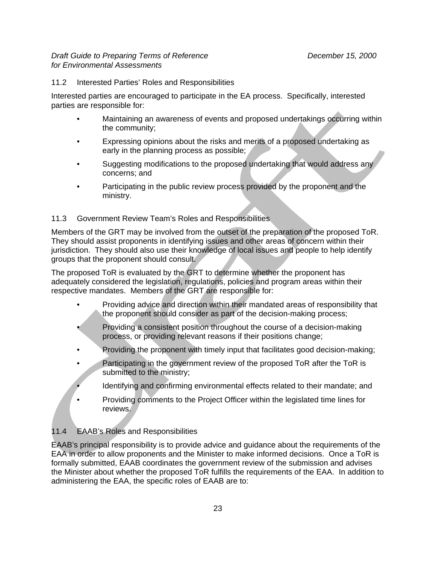### 11.2 Interested Parties' Roles and Responsibilities

Interested parties are encouraged to participate in the EA process. Specifically, interested parties are responsible for:

- Maintaining an awareness of events and proposed undertakings occurring within the community;
- Expressing opinions about the risks and merits of a proposed undertaking as early in the planning process as possible;
- Suggesting modifications to the proposed undertaking that would address any concerns; and
- Participating in the public review process provided by the proponent and the ministry.

#### 11.3 Government Review Team's Roles and Responsibilities

Members of the GRT may be involved from the outset of the preparation of the proposed ToR. They should assist proponents in identifying issues and other areas of concern within their jurisdiction. They should also use their knowledge of local issues and people to help identify groups that the proponent should consult.

The proposed ToR is evaluated by the GRT to determine whether the proponent has adequately considered the legislation, regulations, policies and program areas within their respective mandates. Members of the GRT are responsible for:

- Providing advice and direction within their mandated areas of responsibility that the proponent should consider as part of the decision-making process;
- Providing a consistent position throughout the course of a decision-making process, or providing relevant reasons if their positions change;
- Providing the proponent with timely input that facilitates good decision-making;
- Participating in the government review of the proposed ToR after the ToR is submitted to the ministry;
	- Identifying and confirming environmental effects related to their mandate; and
- Providing comments to the Project Officer within the legislated time lines for reviews.

## 11.4 EAAB's Roles and Responsibilities

EAAB's principal responsibility is to provide advice and guidance about the requirements of the EAA in order to allow proponents and the Minister to make informed decisions. Once a ToR is formally submitted, EAAB coordinates the government review of the submission and advises the Minister about whether the proposed ToR fulfills the requirements of the EAA. In addition to administering the EAA, the specific roles of EAAB are to: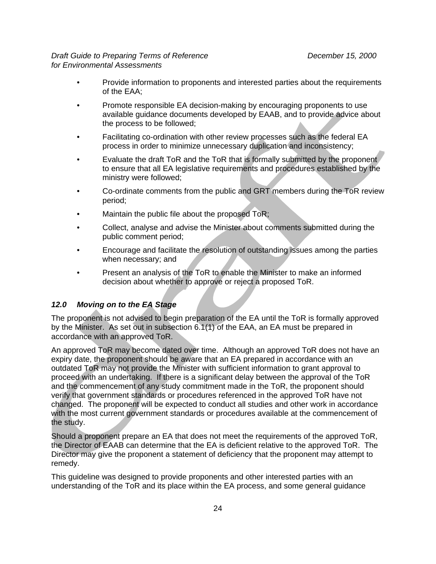- Provide information to proponents and interested parties about the requirements of the EAA;
- Promote responsible EA decision-making by encouraging proponents to use available guidance documents developed by EAAB, and to provide advice about the process to be followed;
- Facilitating co-ordination with other review processes such as the federal EA process in order to minimize unnecessary duplication and inconsistency;
- Evaluate the draft ToR and the ToR that is formally submitted by the proponent to ensure that all EA legislative requirements and procedures established by the ministry were followed;
- Co-ordinate comments from the public and GRT members during the ToR review period;
- Maintain the public file about the proposed ToR;
- Collect, analyse and advise the Minister about comments submitted during the public comment period;
- Encourage and facilitate the resolution of outstanding issues among the parties when necessary; and
- Present an analysis of the ToR to enable the Minister to make an informed decision about whether to approve or reject a proposed ToR.

#### *12.0 Moving on to the EA Stage*

The proponent is not advised to begin preparation of the EA until the ToR is formally approved by the Minister. As set out in subsection 6.1(1) of the EAA, an EA must be prepared in accordance with an approved ToR.

An approved ToR may become dated over time. Although an approved ToR does not have an expiry date, the proponent should be aware that an EA prepared in accordance with an outdated ToR may not provide the Minister with sufficient information to grant approval to proceed with an undertaking. If there is a significant delay between the approval of the ToR and the commencement of any study commitment made in the ToR, the proponent should verify that government standards or procedures referenced in the approved ToR have not changed. The proponent will be expected to conduct all studies and other work in accordance with the most current government standards or procedures available at the commencement of the study.

Should a proponent prepare an EA that does not meet the requirements of the approved ToR, the Director of EAAB can determine that the EA is deficient relative to the approved ToR. The Director may give the proponent a statement of deficiency that the proponent may attempt to remedy.

This guideline was designed to provide proponents and other interested parties with an understanding of the ToR and its place within the EA process, and some general guidance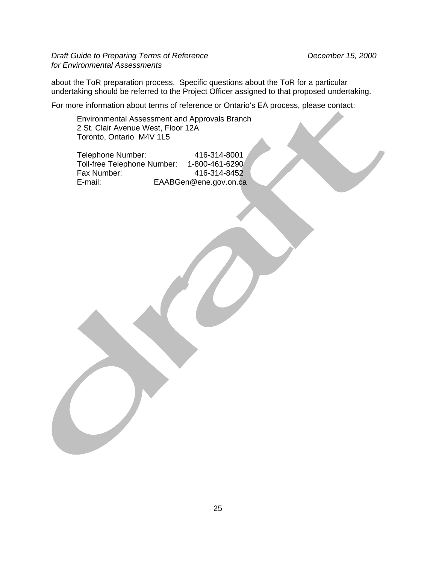about the ToR preparation process. Specific questions about the ToR for a particular undertaking should be referred to the Project Officer assigned to that proposed undertaking.

For more information about terms of reference or Ontario's EA process, please contact:

Environmental Assessment and Approvals Branch 2 St. Clair Avenue West, Floor 12A Toronto, Ontario M4V 1L5

Telephone Number: 416-314-8001<br>Toll-free Telephone Number: 1-800-461-6290 Toll-free Telephone Number:<br>Fax Number: Fax Number: 416-314-8452<br>E-mail: EAABGen@ene.gov.on.ca EAABGen@ene.gov.on.ca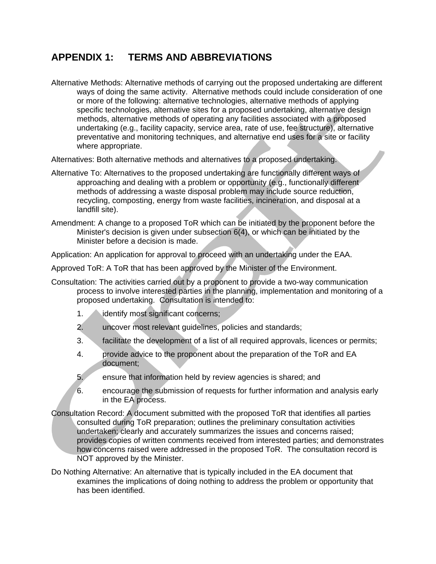## **APPENDIX 1: TERMS AND ABBREVIATIONS**

Alternative Methods: Alternative methods of carrying out the proposed undertaking are different ways of doing the same activity. Alternative methods could include consideration of one or more of the following: alternative technologies, alternative methods of applying specific technologies, alternative sites for a proposed undertaking, alternative design methods, alternative methods of operating any facilities associated with a proposed undertaking (e.g., facility capacity, service area, rate of use, fee structure), alternative preventative and monitoring techniques, and alternative end uses for a site or facility where appropriate.

Alternatives: Both alternative methods and alternatives to a proposed undertaking.

- Alternative To: Alternatives to the proposed undertaking are functionally different ways of approaching and dealing with a problem or opportunity (e.g., functionally different methods of addressing a waste disposal problem may include source reduction, recycling, composting, energy from waste facilities, incineration, and disposal at a landfill site).
- Amendment: A change to a proposed ToR which can be initiated by the proponent before the Minister's decision is given under subsection 6(4), or which can be initiated by the Minister before a decision is made.

Application: An application for approval to proceed with an undertaking under the EAA.

Approved ToR: A ToR that has been approved by the Minister of the Environment.

- Consultation: The activities carried out by a proponent to provide a two-way communication process to involve interested parties in the planning, implementation and monitoring of a proposed undertaking. Consultation is intended to:
	- 1. **identify most significant concerns;**
	- 2. uncover most relevant guidelines, policies and standards;
	- 3. facilitate the development of a list of all required approvals, licences or permits;
	- 4. provide advice to the proponent about the preparation of the ToR and EA document;
	- 5. ensure that information held by review agencies is shared; and
	- 6. encourage the submission of requests for further information and analysis early in the EA process.
- Consultation Record: A document submitted with the proposed ToR that identifies all parties consulted during ToR preparation; outlines the preliminary consultation activities undertaken; clearly and accurately summarizes the issues and concerns raised; provides copies of written comments received from interested parties; and demonstrates how concerns raised were addressed in the proposed ToR. The consultation record is NOT approved by the Minister.
- Do Nothing Alternative: An alternative that is typically included in the EA document that examines the implications of doing nothing to address the problem or opportunity that has been identified.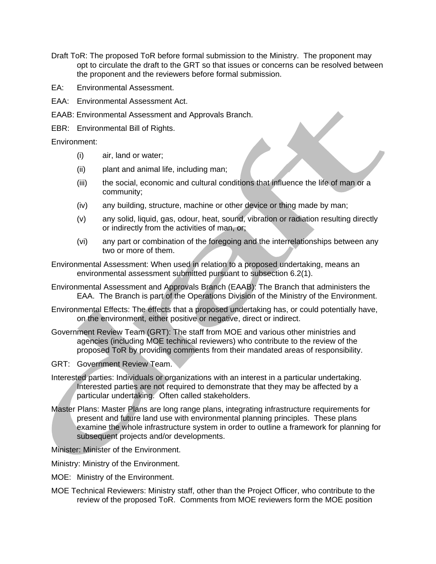- Draft ToR: The proposed ToR before formal submission to the Ministry. The proponent may opt to circulate the draft to the GRT so that issues or concerns can be resolved between the proponent and the reviewers before formal submission.
- EA: Environmental Assessment.
- EAA: Environmental Assessment Act.
- EAAB: Environmental Assessment and Approvals Branch.
- EBR: Environmental Bill of Rights.

Environment:

- (i) air, land or water;
- (ii) plant and animal life, including man;
- (iii) the social, economic and cultural conditions that influence the life of man or a community;
- (iv) any building, structure, machine or other device or thing made by man;
- (v) any solid, liquid, gas, odour, heat, sound, vibration or radiation resulting directly or indirectly from the activities of man, or;
- (vi) any part or combination of the foregoing and the interrelationships between any two or more of them.
- Environmental Assessment: When used in relation to a proposed undertaking, means an environmental assessment submitted pursuant to subsection 6.2(1).
- Environmental Assessment and Approvals Branch (EAAB): The Branch that administers the EAA. The Branch is part of the Operations Division of the Ministry of the Environment.
- Environmental Effects: The effects that a proposed undertaking has, or could potentially have, on the environment, either positive or negative, direct or indirect.
- Government Review Team (GRT): The staff from MOE and various other ministries and agencies (including MOE technical reviewers) who contribute to the review of the proposed ToR by providing comments from their mandated areas of responsibility.
- GRT: Government Review Team.
- Interested parties: Individuals or organizations with an interest in a particular undertaking. Interested parties are not required to demonstrate that they may be affected by a particular undertaking. Often called stakeholders.
- Master Plans: Master Plans are long range plans, integrating infrastructure requirements for present and future land use with environmental planning principles. These plans examine the whole infrastructure system in order to outline a framework for planning for subsequent projects and/or developments.

Minister: Minister of the Environment.

Ministry: Ministry of the Environment.

- MOE: Ministry of the Environment.
- MOE Technical Reviewers: Ministry staff, other than the Project Officer, who contribute to the review of the proposed ToR. Comments from MOE reviewers form the MOE position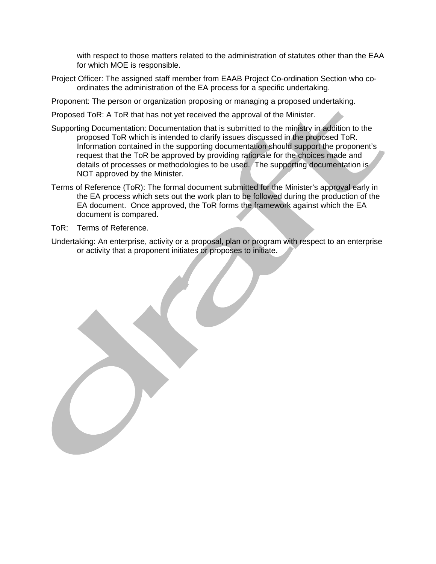with respect to those matters related to the administration of statutes other than the EAA for which MOE is responsible.

- Project Officer: The assigned staff member from EAAB Project Co-ordination Section who coordinates the administration of the EA process for a specific undertaking.
- Proponent: The person or organization proposing or managing a proposed undertaking.
- Proposed ToR: A ToR that has not yet received the approval of the Minister.
- Supporting Documentation: Documentation that is submitted to the ministry in addition to the proposed ToR which is intended to clarify issues discussed in the proposed ToR. Information contained in the supporting documentation should support the proponent's request that the ToR be approved by providing rationale for the choices made and details of processes or methodologies to be used. The supporting documentation is NOT approved by the Minister.
- Terms of Reference (ToR): The formal document submitted for the Minister's approval early in the EA process which sets out the work plan to be followed during the production of the EA document. Once approved, the ToR forms the framework against which the EA document is compared.
- ToR: Terms of Reference.
- Undertaking: An enterprise, activity or a proposal, plan or program with respect to an enterprise or activity that a proponent initiates or proposes to initiate.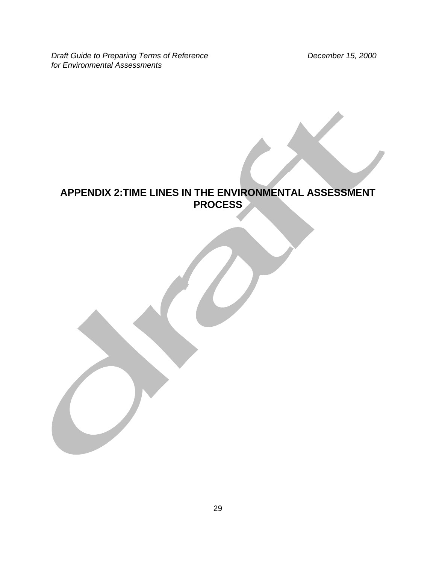**Draft Guide to Preparing Terms of Reference Community Community Community Precember 15, 2000** *for Environmental Assessments* 

# **APPENDIX 2:TIME LINES IN THE ENVIRONMENTAL ASSESSMENT PROCESS**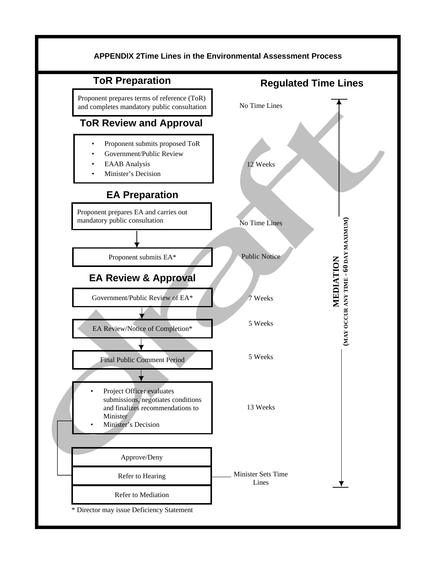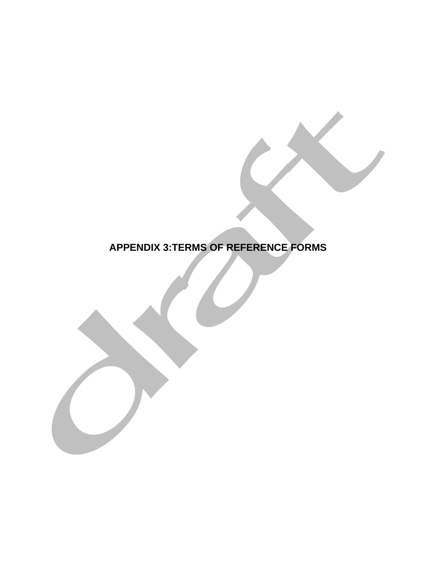# **APPENDIX 3:TERMS OF REFERENCE FORMS**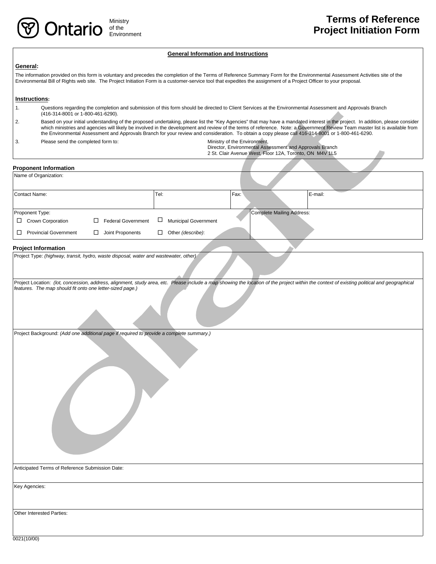#### **General Information and Instructions**

#### **General:**

The information provided on this form is voluntary and precedes the completion of the Terms of Reference Summary Form for the Environmental Assessment Activities site of the Environmental Bill of Rights web site. The Project Initiation Form is a customer-service tool that expedites the assignment of a Project Officer to your proposal.

#### **Instructions:**

- 1. Questions regarding the completion and submission of this form should be directed to Client Services at the Environmental Assessment and Approvals Branch (416-314-8001 or 1-800-461-6290).
- 2. Based on your initial understanding of the proposed undertaking, please list the "Key Agencies" that may have a mandated interest in the project. In addition, please consider which ministries and agencies will likely be involved in the development and review of the terms of reference. Note: a Government Review Team master list is available from the Environmental Assessment and Approvals Branch for your review and consideration. To obtain a copy please call 416-314-8001 or 1-800-461-6290.
- 3. Please send the completed form to: Ministry of the Environment,

Director, Environmental Assessment and Approvals Branch 2 St. Clair Avenue West, Floor 12A, Toronto, ON M4V 1L5

#### **Proponent Information**

| Name of Organization:        |                                |                                       |                           |         |
|------------------------------|--------------------------------|---------------------------------------|---------------------------|---------|
| Contact Name:                |                                | Fax:<br>Tel:                          |                           | E-mail: |
| Proponent Type:              |                                |                                       | Complete Mailing Address: |         |
| $\Box$<br>Crown Corporation  | <b>Federal Government</b><br>П | $\Box$<br><b>Municipal Government</b> |                           |         |
| <b>Provincial Government</b> | Joint Proponents<br>П          | Other (describe):<br>П                |                           |         |

#### **Project Information**

Project Location: *(lot, concession, address, alignment, study area, etc. Please include a map showing the location of the project within the context of existing political and geographical features. The map should fit onto one letter-sized page.)* 

Project Background: *(Add one additional page if required to provide a complete summary.)* 

Anticipated Terms of Reference Submission Date:

Key Agencies:

Other Interested Parties: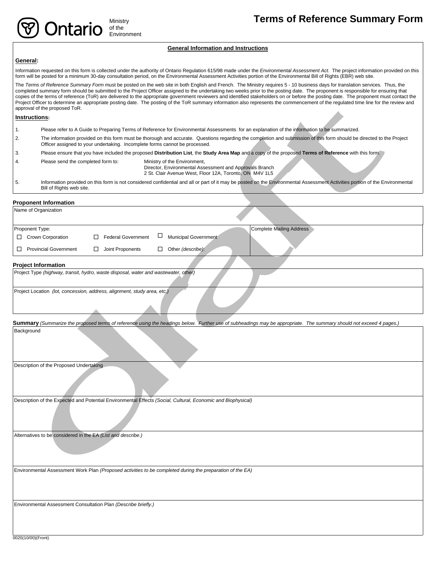#### **General Information and Instructions**

#### **General:**

Information requested on this form is collected under the authority of Ontario Regulation 615/98 made under the *Environmental Assessment Act*. The project information provided on this form will be posted for a minimum 30-day consultation period, on the Environmental Assessment Activities portion of the Environmental Bill of Rights (EBR) web site.

The Terms of Reference Summary Form must be posted on the web site in both English and French. The Ministry requires 5 - 10 business days for translation services. Thus, the completed summary form should be submitted to the Project Officer assigned to the undertaking two weeks prior to the posting date. The proponent is responsible for ensuring that copies of the terms of reference (ToR) are delivered to the appropriate government reviewers and identified stakeholders on or before the posting date. The proponent must contact the Project Officer to determine an appropriate posting date. The posting of the ToR summary information also represents the commencement of the regulated time line for the review and approval of the proposed ToR.

#### **Instructions:**

- 1. Please refer to A Guide to Preparing Terms of Reference for Environmental Assessments for an explanation of the information to be summarized.
- 2. The information provided on this form must be thorough and accurate. Questions regarding the completion and submission of this form should be directed to the Project Officer assigned to your undertaking. Incomplete forms cannot be processed.
- 3. Please ensure that you have included the proposed **Distribution List**, the **Study Area Map** and a copy of the proposed **Terms of Reference** with this form.
- 4. Please send the completed form to: Ministry of the Environment,

of the Environment

**Intario** 

- Director, Environmental Assessment and Approvals Branch
- 2 St. Clair Avenue West, Floor 12A, Toronto, ON M4V 1L5
- 5. Information provided on this form is not considered confidential and all or part of it may be posted on the Environmental Assessment Activities portion of the Environmental Bill of Rights web site.

#### **Proponent Information**

| Name of Organization         |                                |                                 |
|------------------------------|--------------------------------|---------------------------------|
| Proponent Type:              |                                | <b>Complete Mailing Address</b> |
| <b>Crown Corporation</b>     | <b>Federal Government</b><br>┑ | $\Box$<br>Municipal Government  |
| <b>Provincial Government</b> | Joint Proponents               | Other (describe):<br>П          |
|                              |                                |                                 |

#### **Project Information**

| Project Type (highway, transit, hydro, waste disposal, water and wastewater, other) |  |  |
|-------------------------------------------------------------------------------------|--|--|
| Project Location (lot, concession, address, alignment, study area, etc.)            |  |  |

Summary (Summarize the proposed terms of reference using the headings below. Further use of subheadings may be appropriate. The summary should not exceed 4 pages.) Background

Description of the Proposed Undertaking

Description of the Expected and Potential Environmental Effects *(Social, Cultural, Economic and Biophysical)* 

Alternatives to be considered in the EA *(List and describe.)* 

Environmental Assessment Work Plan *(Proposed activities to be completed during the preparation of the EA)* 

Environmental Assessment Consultation Plan *(Describe briefly.)* 

0020(10/00)(Front)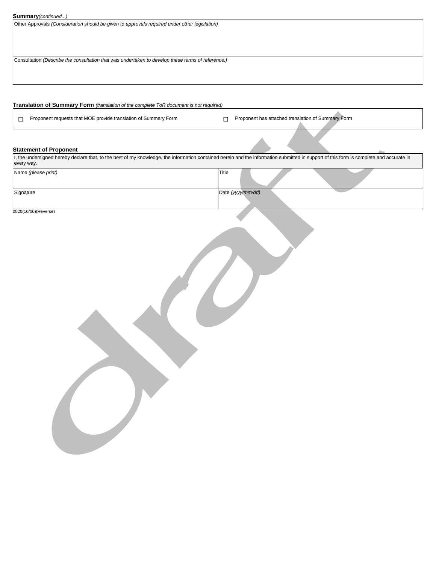|  | <b>Summary</b> (continued) |
|--|----------------------------|
|--|----------------------------|

Other Approvals *(Consideration should be given to approvals required under other legislation)* 

Consultation *(Describe the consultation that was undertaken to develop these terms of reference.)* 

#### **Translation of Summary Form** *(translation of the complete ToR document is not required)*

Proponent requests that MOE provide translation of Summary Form **Proponent has attached translation of Summary Form** 

#### **Statement of Proponent**

I, the undersigned hereby declare that, to the best of my knowledge, the information contained herein and the information submitted in support of this form is complete and accurate in every way. Name *(please print)* Title Signature Date *(yyyy/mm/dd)* **Date**  (yyyy/mm/dd)

0020(10/00)(Reverse)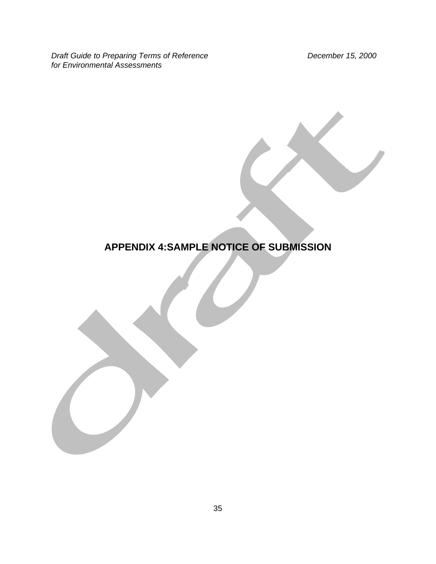**Draft Guide to Preparing Terms of Reference Community Community Community Precember 15, 2000** *for Environmental Assessments* 

# **APPENDIX 4:SAMPLE NOTICE OF SUBMISSION**

35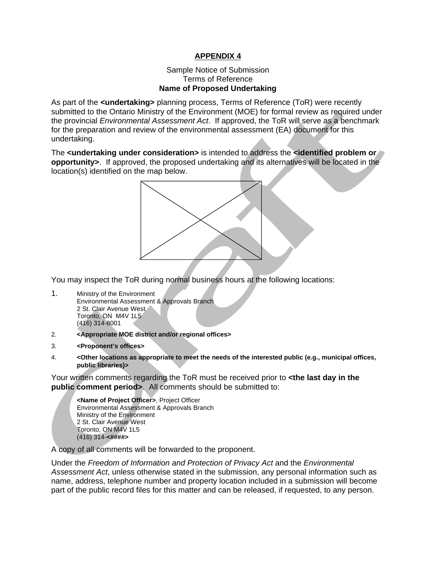### **APPENDIX 4**

#### Sample Notice of Submission Terms of Reference **Name of Proposed Undertaking**

As part of the **<undertaking>** planning process, Terms of Reference (ToR) were recently submitted to the Ontario Ministry of the Environment (MOE) for formal review as required under the provincial *Environmental Assessment Act*. If approved, the ToR will serve as a benchmark for the preparation and review of the environmental assessment (EA) document for this undertaking.

The **<undertaking under consideration>** is intended to address the **<identified problem or opportunity>**. If approved, the proposed undertaking and its alternatives will be located in the location(s) identified on the map below.



You may inspect the ToR during normal business hours at the following locations:

- 1. Ministry of the Environment Environmental Assessment & Approvals Branch 2 St. Clair Avenue West Toronto, ON M4V 1L5 (416) 314-8001
- 2. **<Appropriate MOE district and/or regional offices>**
- 3. **<Proponent's offices>**
- 4. **<Other locations as appropriate to meet the needs of the interested public (e.g., municipal offices, public libraries)>**

Your written comments regarding the ToR must be received prior to **<the last day in the**  public comment period>. All comments should be submitted to:

**<Name of Project Officer>**, Project Officer Environmental Assessment & Approvals Branch Ministry of the Environment 2 St. Clair Avenue West Toronto, ON M4V 1L5 (416) 314-**<####>** 

A copy of all comments will be forwarded to the proponent.

Under the *Freedom of Information and Protection of Privacy Act* and the *Environmental Assessment Act*, unless otherwise stated in the submission, any personal information such as name, address, telephone number and property location included in a submission will become part of the public record files for this matter and can be released, if requested, to any person.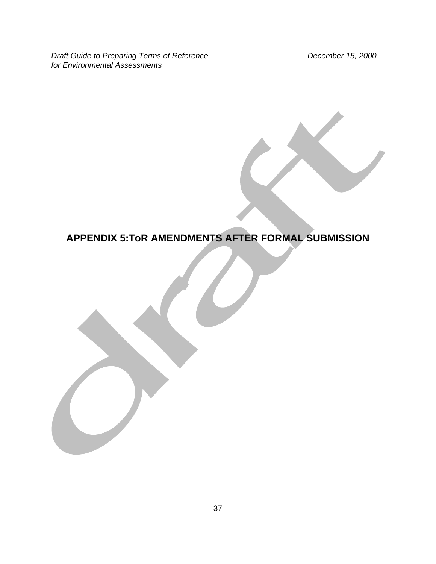**Draft Guide to Preparing Terms of Reference Community Community Community Precember 15, 2000** *for Environmental Assessments* 

# **APPENDIX 5:ToR AMENDMENTS AFTER FORMAL SUBMISSION**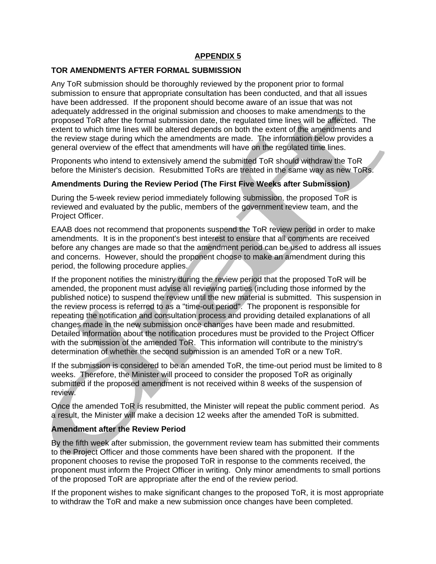#### **APPENDIX 5**

#### **TOR AMENDMENTS AFTER FORMAL SUBMISSION**

Any ToR submission should be thoroughly reviewed by the proponent prior to formal submission to ensure that appropriate consultation has been conducted, and that all issues have been addressed. If the proponent should become aware of an issue that was not adequately addressed in the original submission and chooses to make amendments to the proposed ToR after the formal submission date, the regulated time lines will be affected. The extent to which time lines will be altered depends on both the extent of the amendments and the review stage during which the amendments are made. The information below provides a general overview of the effect that amendments will have on the regulated time lines.

Proponents who intend to extensively amend the submitted ToR should withdraw the ToR before the Minister's decision. Resubmitted ToRs are treated in the same way as new ToRs.

#### **Amendments During the Review Period (The First Five Weeks after Submission)**

During the 5-week review period immediately following submission, the proposed ToR is reviewed and evaluated by the public, members of the government review team, and the Project Officer.

EAAB does not recommend that proponents suspend the ToR review period in order to make amendments. It is in the proponent's best interest to ensure that all comments are received before any changes are made so that the amendment period can be used to address all issues and concerns. However, should the proponent choose to make an amendment during this period, the following procedure applies.

If the proponent notifies the ministry during the review period that the proposed ToR will be amended, the proponent must advise all reviewing parties (including those informed by the published notice) to suspend the review until the new material is submitted. This suspension in the review process is referred to as a "time-out period". The proponent is responsible for repeating the notification and consultation process and providing detailed explanations of all changes made in the new submission once changes have been made and resubmitted. Detailed information about the notification procedures must be provided to the Project Officer with the submission of the amended ToR. This information will contribute to the ministry's determination of whether the second submission is an amended ToR or a new ToR.

If the submission is considered to be an amended ToR, the time-out period must be limited to 8 weeks. Therefore, the Minister will proceed to consider the proposed ToR as originally submitted if the proposed amendment is not received within 8 weeks of the suspension of review.

Once the amended ToR is resubmitted, the Minister will repeat the public comment period. As a result, the Minister will make a decision 12 weeks after the amended ToR is submitted.

#### **Amendment after the Review Period**

By the fifth week after submission, the government review team has submitted their comments to the Project Officer and those comments have been shared with the proponent. If the proponent chooses to revise the proposed ToR in response to the comments received, the proponent must inform the Project Officer in writing. Only minor amendments to small portions of the proposed ToR are appropriate after the end of the review period.

If the proponent wishes to make significant changes to the proposed ToR, it is most appropriate to withdraw the ToR and make a new submission once changes have been completed.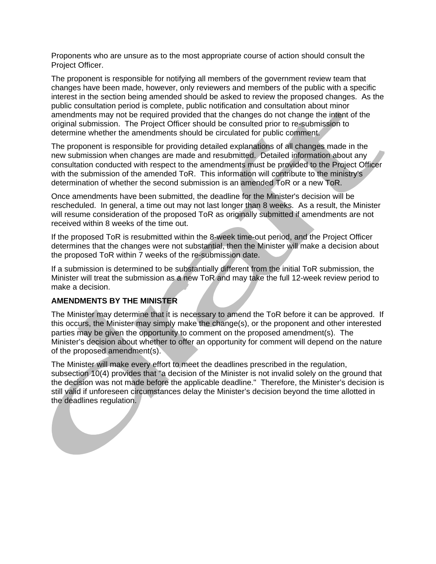Proponents who are unsure as to the most appropriate course of action should consult the Project Officer.

The proponent is responsible for notifying all members of the government review team that changes have been made, however, only reviewers and members of the public with a specific interest in the section being amended should be asked to review the proposed changes. As the public consultation period is complete, public notification and consultation about minor amendments may not be required provided that the changes do not change the intent of the original submission. The Project Officer should be consulted prior to re-submission to determine whether the amendments should be circulated for public comment.

The proponent is responsible for providing detailed explanations of all changes made in the new submission when changes are made and resubmitted. Detailed information about any consultation conducted with respect to the amendments must be provided to the Project Officer with the submission of the amended ToR. This information will contribute to the ministry's determination of whether the second submission is an amended ToR or a new ToR.

Once amendments have been submitted, the deadline for the Minister's decision will be rescheduled. In general, a time out may not last longer than 8 weeks. As a result, the Minister will resume consideration of the proposed ToR as originally submitted if amendments are not received within 8 weeks of the time out.

If the proposed ToR is resubmitted within the 8-week time-out period, and the Project Officer determines that the changes were not substantial, then the Minister will make a decision about the proposed ToR within 7 weeks of the re-submission date.

If a submission is determined to be substantially different from the initial ToR submission, the Minister will treat the submission as a new ToR and may take the full 12-week review period to make a decision.

#### **AMENDMENTS BY THE MINISTER**

The Minister may determine that it is necessary to amend the ToR before it can be approved. If this occurs, the Minister may simply make the change(s), or the proponent and other interested parties may be given the opportunity to comment on the proposed amendment(s). The Minister's decision about whether to offer an opportunity for comment will depend on the nature of the proposed amendment(s).

The Minister will make every effort to meet the deadlines prescribed in the regulation, subsection 10(4) provides that "a decision of the Minister is not invalid solely on the ground that the decision was not made before the applicable deadline." Therefore, the Minister's decision is still valid if unforeseen circumstances delay the Minister's decision beyond the time allotted in the deadlines regulation.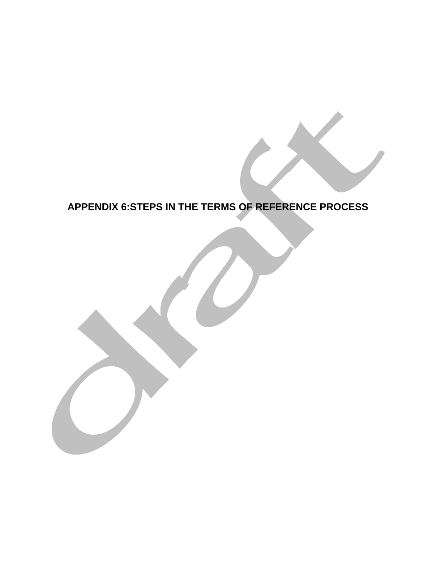# **APPENDIX 6:STEPS IN THE TERMS OF REFERENCE PROCESS**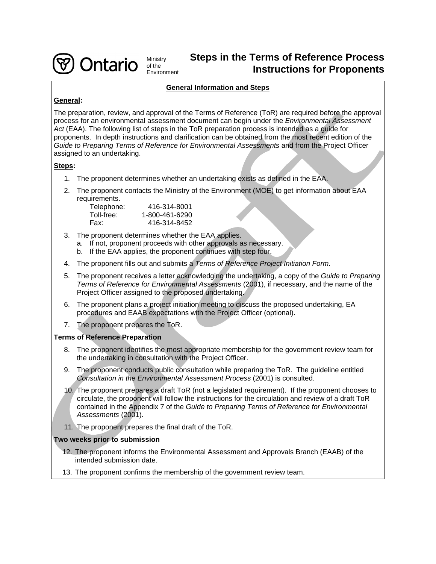

Ministry **Steps in the Terms of Reference Process Instructions for Proponents** 

#### **General Information and Steps**

#### **General:**

The preparation, review, and approval of the Terms of Reference (ToR) are required before the approval process for an environmental assessment document can begin under the *Environmental Assessment Act* (EAA). The following list of steps in the ToR preparation process is intended as a guide for proponents. In depth instructions and clarification can be obtained from the most recent edition of the *Guide to Preparing Terms of Reference for Environmental Assessments* and from the Project Officer assigned to an undertaking.

#### **Steps:**

- 1. The proponent determines whether an undertaking exists as defined in the EAA.
- 2. The proponent contacts the Ministry of the Environment (MOE) to get information about EAA requirements.

| Telephone: | 416-314-8001   |
|------------|----------------|
| Toll-free: | 1-800-461-6290 |
| Fax:       | 416-314-8452   |

3. The proponent determines whether the EAA applies.

of the<br>Environment

- a. If not, proponent proceeds with other approvals as necessary.
- b. If the EAA applies, the proponent continues with step four.
- 4. The proponent fills out and submits a *Terms of Reference Project Initiation Form*.
- 5. The proponent receives a letter acknowledging the undertaking, a copy of the *Guide to Preparing Terms of Reference for Environmental Assessments* (2001), if necessary, and the name of the Project Officer assigned to the proposed undertaking.
- 6. The proponent plans a project initiation meeting to discuss the proposed undertaking, EA procedures and EAAB expectations with the Project Officer (optional).
- 7. The proponent prepares the ToR.

#### **Terms of Reference Preparation**

- 8. The proponent identifies the most appropriate membership for the government review team for the undertaking in consultation with the Project Officer.
- 9. The proponent conducts public consultation while preparing the ToR. The guideline entitled *Consultation in the Environmental Assessment Process* (2001) is consulted.
- 10. The proponent prepares a draft ToR (not a legislated requirement). If the proponent chooses to circulate, the proponent will follow the instructions for the circulation and review of a draft ToR contained in the Appendix 7 of the *Guide to Preparing Terms of Reference for Environmental Assessments* (2001).
- 11. The proponent prepares the final draft of the ToR.

#### **Two weeks prior to submission**

- 12. The proponent informs the Environmental Assessment and Approvals Branch (EAAB) of the intended submission date.
- 13. The proponent confirms the membership of the government review team.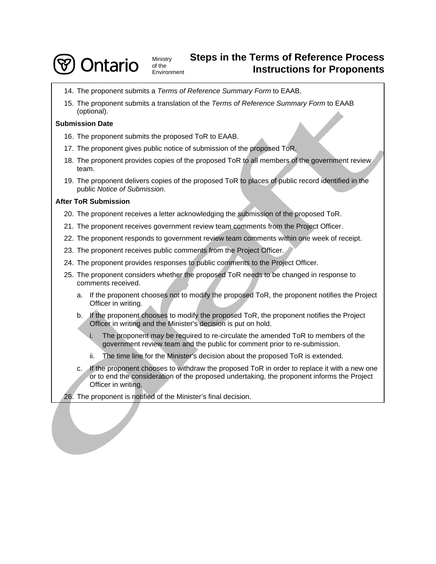

# Ministry **Steps in the Terms of Reference Process Instructions for Proponents**

- 14. The proponent submits a *Terms of Reference Summary Form* to EAAB.
- 15. The proponent submits a translation of the *Terms of Reference Summary Form* to EAAB (optional).

#### **Submission Date**

- 16. The proponent submits the proposed ToR to EAAB.
- 17. The proponent gives public notice of submission of the proposed ToR.
- 18. The proponent provides copies of the proposed ToR to all members of the government review team.
- 19. The proponent delivers copies of the proposed ToR to places of public record identified in the public *Notice of Submission*.

#### **After ToR Submission**

- 20. The proponent receives a letter acknowledging the submission of the proposed ToR.
- 21. The proponent receives government review team comments from the Project Officer.
- 22. The proponent responds to government review team comments within one week of receipt.
- 23. The proponent receives public comments from the Project Officer.
- 24. The proponent provides responses to public comments to the Project Officer.
- 25. The proponent considers whether the proposed ToR needs to be changed in response to comments received.
	- a. If the proponent chooses not to modify the proposed ToR, the proponent notifies the Project Officer in writing.
	- b. If the proponent chooses to modify the proposed ToR, the proponent notifies the Project Officer in writing and the Minister's decision is put on hold.
		- i. The proponent may be required to re-circulate the amended ToR to members of the government review team and the public for comment prior to re-submission.
		- ii. The time line for the Minister's decision about the proposed ToR is extended.
	- c. If the proponent chooses to withdraw the proposed ToR in order to replace it with a new one or to end the consideration of the proposed undertaking, the proponent informs the Project Officer in writing.

26. The proponent is notified of the Minister's final decision.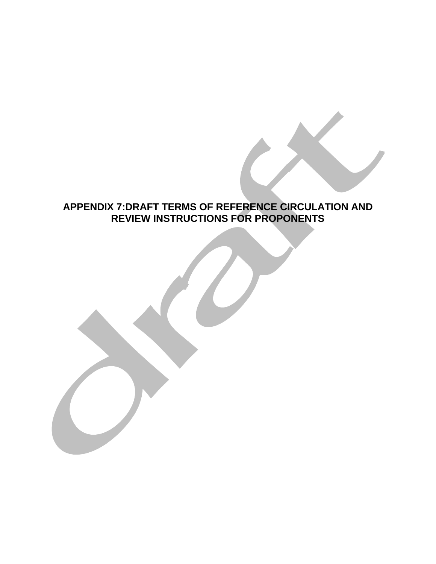# **APPENDIX 7:DRAFT TERMS OF REFERENCE CIRCULATION AND REVIEW INSTRUCTIONS FOR PROPONENTS**